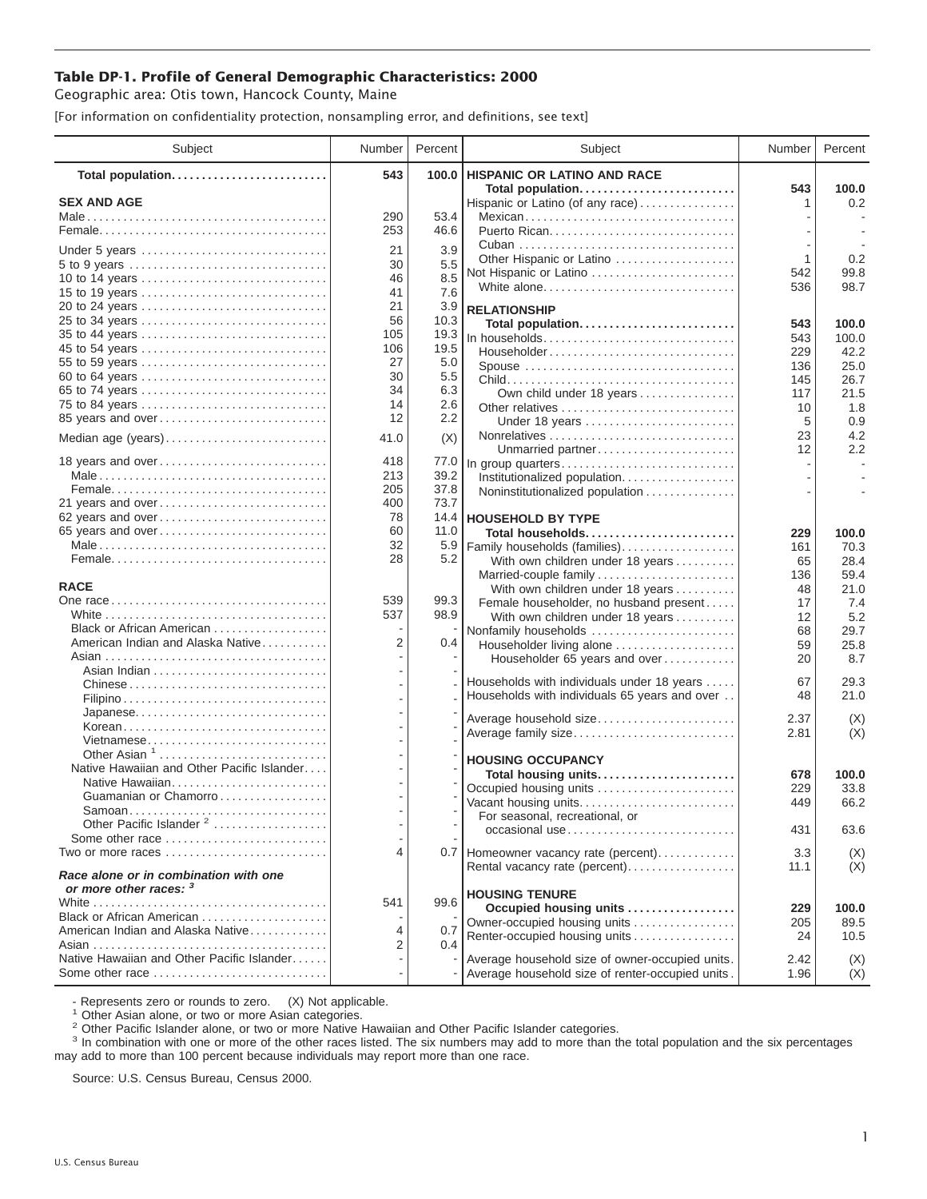## **Table DP-1. Profile of General Demographic Characteristics: 2000**

Geographic area: Otis town, Hancock County, Maine

[For information on confidentiality protection, nonsampling error, and definitions, see text]

| Subject                                                         | Number     | Percent      | Subject                                              | Number       | Percent        |
|-----------------------------------------------------------------|------------|--------------|------------------------------------------------------|--------------|----------------|
| Total population                                                | 543        | 100.0        | <b>HISPANIC OR LATINO AND RACE</b>                   |              |                |
| <b>SEX AND AGE</b>                                              |            |              | Total population<br>Hispanic or Latino (of any race) | 543<br>1     | 100.0<br>0.2   |
|                                                                 | 290        | 53.4         | Mexican                                              |              |                |
|                                                                 | 253        | 46.6         |                                                      |              |                |
|                                                                 |            |              |                                                      |              |                |
| Under 5 years                                                   | 21         | 3.9          | Other Hispanic or Latino                             | 1            | 0.2            |
| 5 to 9 years<br>10 to 14 years                                  | 30<br>46   | 5.5<br>8.5   | Not Hispanic or Latino                               | 542          | 99.8           |
| 15 to 19 years                                                  | 41         | 7.6          | White alone                                          | 536          | 98.7           |
| 20 to 24 years                                                  | 21         | 3.9          |                                                      |              |                |
| 25 to 34 years                                                  | 56         | 10.3         | <b>RELATIONSHIP</b>                                  |              |                |
| 35 to 44 years                                                  | 105        | 19.3         | Total population<br>In households                    | 543<br>543   | 100.0<br>100.0 |
| 45 to 54 years                                                  | 106        | 19.5         | Householder                                          | 229          | 42.2           |
| 55 to 59 years                                                  | 27         | 5.0          | Spouse                                               | 136          | 25.0           |
| 60 to 64 years                                                  | 30         | 5.5          |                                                      | 145          | 26.7           |
| 65 to 74 years                                                  | 34         | 6.3          | Own child under 18 years                             | 117          | 21.5           |
| 75 to 84 years                                                  | 14         | 2.6          | Other relatives                                      | 10           | 1.8            |
| 85 years and over                                               | 12         | 2.2          | Under 18 years                                       | 5            | 0.9            |
| Median age (years)                                              | 41.0       | (X)          |                                                      | 23           | 4.2            |
|                                                                 |            |              | Unmarried partner                                    | 12           | 2.2            |
| 18 years and over                                               | 418        | 77.0         | In group quarters                                    |              |                |
|                                                                 | 213        | 39.2         | Institutionalized population                         |              |                |
|                                                                 | 205        | 37.8         | Noninstitutionalized population                      |              |                |
| 21 years and over                                               | 400        | 73.7         |                                                      |              |                |
| 62 years and over                                               | 78         |              | 14.4 HOUSEHOLD BY TYPE                               |              |                |
| 65 years and over                                               | 60         | 11.0         | Total households                                     | 229          | 100.0          |
|                                                                 | 32         | 5.9          | Family households (families)                         | 161          | 70.3           |
|                                                                 | 28         | 5.2          | With own children under 18 years                     | 65           | 28.4           |
|                                                                 |            |              | Married-couple family                                | 136          | 59.4           |
| <b>RACE</b>                                                     |            |              | With own children under 18 years                     | 48           | 21.0           |
|                                                                 | 539<br>537 | 99.3<br>98.9 | Female householder, no husband present               | 17           | 7.4            |
| Black or African American                                       |            |              | With own children under 18 years                     | 12           | 5.2            |
| American Indian and Alaska Native                               | 2          | 0.4          | Nonfamily households<br>Householder living alone     | 68<br>59     | 29.7<br>25.8   |
|                                                                 |            |              | Householder 65 years and over                        | 20           | 8.7            |
|                                                                 |            |              |                                                      |              |                |
|                                                                 |            |              | Households with individuals under 18 years           | 67           | 29.3           |
|                                                                 |            |              | Households with individuals 65 years and over        | 48           | 21.0           |
|                                                                 |            |              |                                                      |              |                |
| Korean                                                          |            |              | Average household size<br>Average family size        | 2.37<br>2.81 | (X)<br>(X)     |
| Vietnamese                                                      |            |              |                                                      |              |                |
| Other Asian <sup>1</sup>                                        |            |              | <b>HOUSING OCCUPANCY</b>                             |              |                |
| Native Hawaiian and Other Pacific Islander                      |            |              | Total housing units                                  | 678          | 100.0          |
| Native Hawaiian                                                 |            |              | Occupied housing units                               | 229          | 33.8           |
| Guamanian or Chamorro                                           |            |              | Vacant housing units                                 | 449          | 66.2           |
| Samoan                                                          |            |              | For seasonal, recreational, or                       |              |                |
| Other Pacific Islander <sup>2</sup>                             |            |              | occasional use                                       | 431          | 63.6           |
| Some other race                                                 |            |              |                                                      |              |                |
| Two or more races                                               | 4          |              | 0.7 Homeowner vacancy rate (percent)                 | 3.3          | (X)            |
| Race alone or in combination with one<br>or more other races: 3 |            |              | Rental vacancy rate (percent)                        | 11.1         | (X)            |
|                                                                 | 541        | 99.6         | <b>HOUSING TENURE</b>                                |              |                |
| Black or African American                                       |            |              | Occupied housing units                               | 229          | 100.0          |
| American Indian and Alaska Native                               | 4          | 0.7          | Owner-occupied housing units                         | 205          | 89.5           |
|                                                                 | 2          | 0.4          | Renter-occupied housing units                        | 24           | 10.5           |
| Native Hawaiian and Other Pacific Islander                      |            |              | Average household size of owner-occupied units.      | 2.42         | (X)            |
| Some other race                                                 |            |              | Average household size of renter-occupied units.     | 1.96         | (X)            |

- Represents zero or rounds to zero. (X) Not applicable.<br><sup>1</sup> Other Asian alone, or two or more Asian categories.

<sup>2</sup> Other Pacific Islander alone, or two or more Native Hawaiian and Other Pacific Islander categories.<br><sup>3</sup> In combination with one or more of the other races listed. The six numbers may add to more than the total populati may add to more than 100 percent because individuals may report more than one race.

Source: U.S. Census Bureau, Census 2000.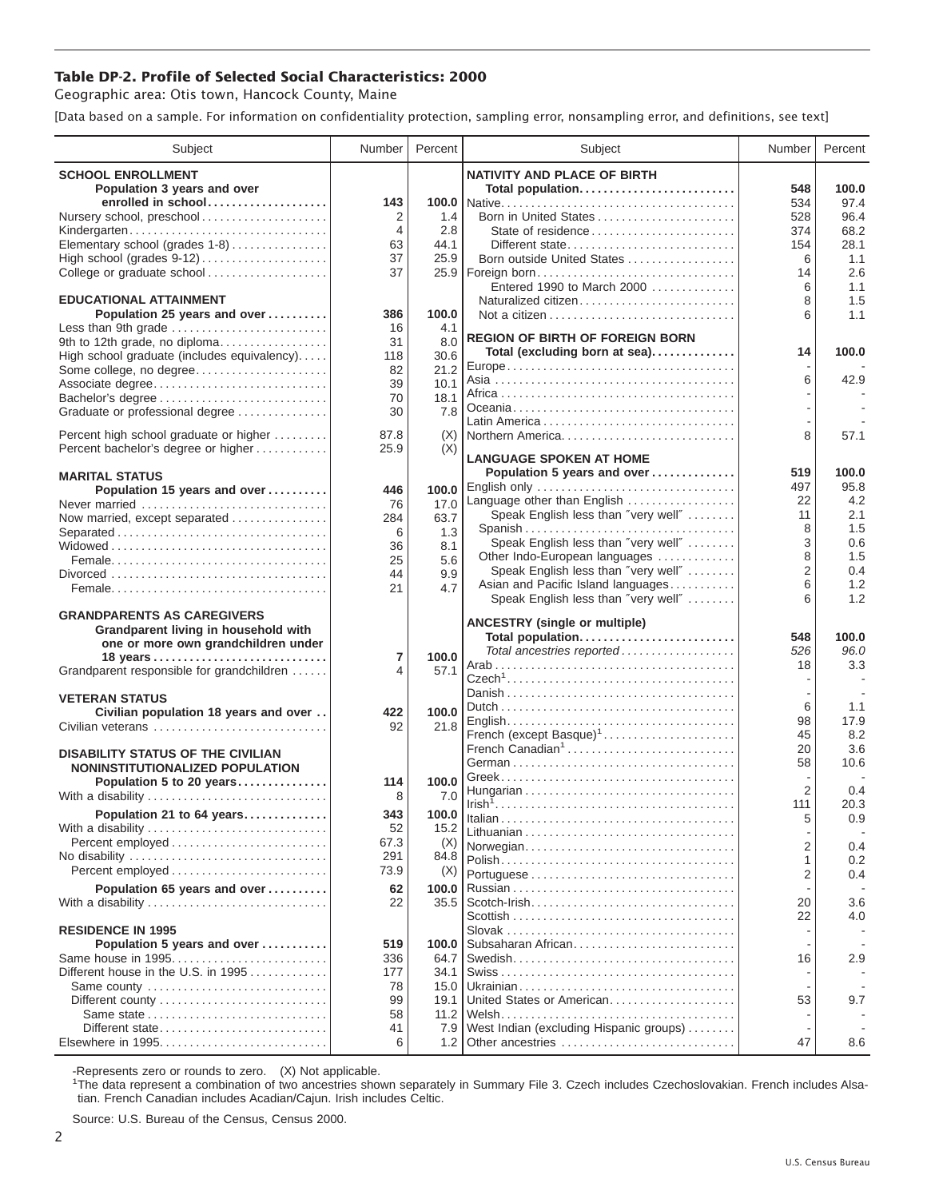## **Table DP-2. Profile of Selected Social Characteristics: 2000**

Geographic area: Otis town, Hancock County, Maine

[Data based on a sample. For information on confidentiality protection, sampling error, nonsampling error, and definitions, see text]

| Subject                                               | Number               | Percent       | Subject                                                              | Number         | Percent     |
|-------------------------------------------------------|----------------------|---------------|----------------------------------------------------------------------|----------------|-------------|
| <b>SCHOOL ENROLLMENT</b>                              |                      |               | <b>NATIVITY AND PLACE OF BIRTH</b>                                   |                |             |
| Population 3 years and over                           |                      |               | Total population                                                     | 548            | 100.0       |
| enrolled in school                                    | 143                  |               |                                                                      | 534            | 97.4        |
| Nursery school, preschool                             | 2                    | 1.4           | Born in United States                                                | 528            | 96.4        |
| Kindergarten<br>Elementary school (grades 1-8)        | $\overline{4}$<br>63 | 2.8<br>44.1   |                                                                      | 374            | 68.2        |
|                                                       | 37                   | 25.9          | Different state<br>Born outside United States                        | 154<br>6       | 28.1<br>1.1 |
| College or graduate school                            | 37                   |               | 25.9   Foreign born                                                  | 14             | 2.6         |
|                                                       |                      |               | Entered 1990 to March 2000                                           | 6              | 1.1         |
| <b>EDUCATIONAL ATTAINMENT</b>                         |                      |               | Naturalized citizen                                                  | 8              | 1.5         |
| Population 25 years and over                          | 386                  | 100.0         |                                                                      | 6              | 1.1         |
| Less than 9th grade<br>9th to 12th grade, no diploma  | 16<br>31             | 4.1<br>8.0    | <b>REGION OF BIRTH OF FOREIGN BORN</b>                               |                |             |
| High school graduate (includes equivalency)           | 118                  | 30.6          | Total (excluding born at sea)                                        | 14             | 100.0       |
| Some college, no degree                               | 82                   | 21.2          |                                                                      |                |             |
| Associate degree                                      | 39                   | 10.1          |                                                                      | 6              | 42.9        |
|                                                       | 70                   | 18.1          |                                                                      |                |             |
| Graduate or professional degree                       | 30                   | 7.8           |                                                                      |                |             |
| Percent high school graduate or higher                | 87.8                 | (X)           | Northern America                                                     | 8              | 57.1        |
| Percent bachelor's degree or higher                   | 25.9                 | (X)           |                                                                      |                |             |
|                                                       |                      |               | <b>LANGUAGE SPOKEN AT HOME</b><br>Population 5 years and over        | 519            | 100.0       |
| <b>MARITAL STATUS</b><br>Population 15 years and over | 446                  | 100.0         | English only                                                         | 497            | 95.8        |
| Never married                                         | 76                   | 17.0          | Language other than English                                          | 22             | 4.2         |
| Now married, except separated                         | 284                  | 63.7          | Speak English less than "very well"                                  | 11             | 2.1         |
| Separated                                             | 6                    | 1.3           | Spanish                                                              | 8              | 1.5         |
|                                                       | 36                   | 8.1           | Speak English less than "very well"                                  | 3              | 0.6         |
|                                                       | 25                   | 5.6           | Other Indo-European languages<br>Speak English less than "very well" | 8<br>2         | 1.5<br>0.4  |
|                                                       | 44<br>21             | 9.9<br>4.7    | Asian and Pacific Island languages                                   | 6              | 1.2         |
|                                                       |                      |               | Speak English less than "very well"                                  | 6              | 1.2         |
| <b>GRANDPARENTS AS CAREGIVERS</b>                     |                      |               |                                                                      |                |             |
| Grandparent living in household with                  |                      |               | <b>ANCESTRY (single or multiple)</b><br>Total population             | 548            | 100.0       |
| one or more own grandchildren under                   |                      |               | Total ancestries reported                                            | 526            | 96.0        |
| Grandparent responsible for grandchildren             | 7<br>4               | 100.0<br>57.1 |                                                                      | 18             | 3.3         |
|                                                       |                      |               |                                                                      |                |             |
| <b>VETERAN STATUS</b>                                 |                      |               |                                                                      |                |             |
| Civilian population 18 years and over                 | 422                  | 100.0         |                                                                      | 6<br>98        | 1.1<br>17.9 |
| Civilian veterans                                     | 92                   | 21.8          | French (except Basque) <sup>1</sup>                                  | 45             | 8.2         |
| <b>DISABILITY STATUS OF THE CIVILIAN</b>              |                      |               | French Canadian <sup>1</sup>                                         | 20             | 3.6         |
| NONINSTITUTIONALIZED POPULATION                       |                      |               |                                                                      | 58             | 10.6        |
| Population 5 to 20 years                              | 114                  | 100.0         |                                                                      |                |             |
| With a disability                                     | 8                    | 7.0           |                                                                      | $\overline{2}$ | 0.4         |
| Population 21 to 64 years                             | 343                  | 100.0         |                                                                      | 111<br>5       | 20.3<br>0.9 |
| With a disability                                     | 52                   | 15.2          |                                                                      |                |             |
| Percent employed                                      | 67.3                 | (X)           | Norwegian                                                            | $\overline{2}$ | 0.4         |
|                                                       | 291                  | 84.8          |                                                                      | 1              | 0.2         |
| Percent employed                                      | 73.9                 | (X)           |                                                                      | $\overline{2}$ | 0.4         |
| Population 65 years and over                          | 62                   | 100.0         |                                                                      | 20             | 3.6         |
| With a disability                                     | 22                   | 35.5          |                                                                      | 22             | 4.0         |
| <b>RESIDENCE IN 1995</b>                              |                      |               |                                                                      |                |             |
| Population 5 years and over                           | 519                  | 100.0         | Subsaharan African                                                   |                |             |
| Same house in 1995                                    | 336                  | 64.7          |                                                                      | 16             | 2.9         |
| Different house in the U.S. in 1995                   | 177                  | 34.1          |                                                                      |                |             |
| Same county                                           | 78<br>99             | 15.0<br>19.1  | United States or American                                            | 53             | 9.7         |
|                                                       | 58                   | 11.2          |                                                                      |                |             |
| Different state                                       | 41                   | 7.9           | West Indian (excluding Hispanic groups)                              |                |             |
|                                                       | 6                    | 1.2           | Other ancestries                                                     | 47             | 8.6         |

-Represents zero or rounds to zero. (X) Not applicable. 1 The data represent a combination of two ancestries shown separately in Summary File 3. Czech includes Czechoslovakian. French includes Alsatian. French Canadian includes Acadian/Cajun. Irish includes Celtic.

Source: U.S. Bureau of the Census, Census 2000.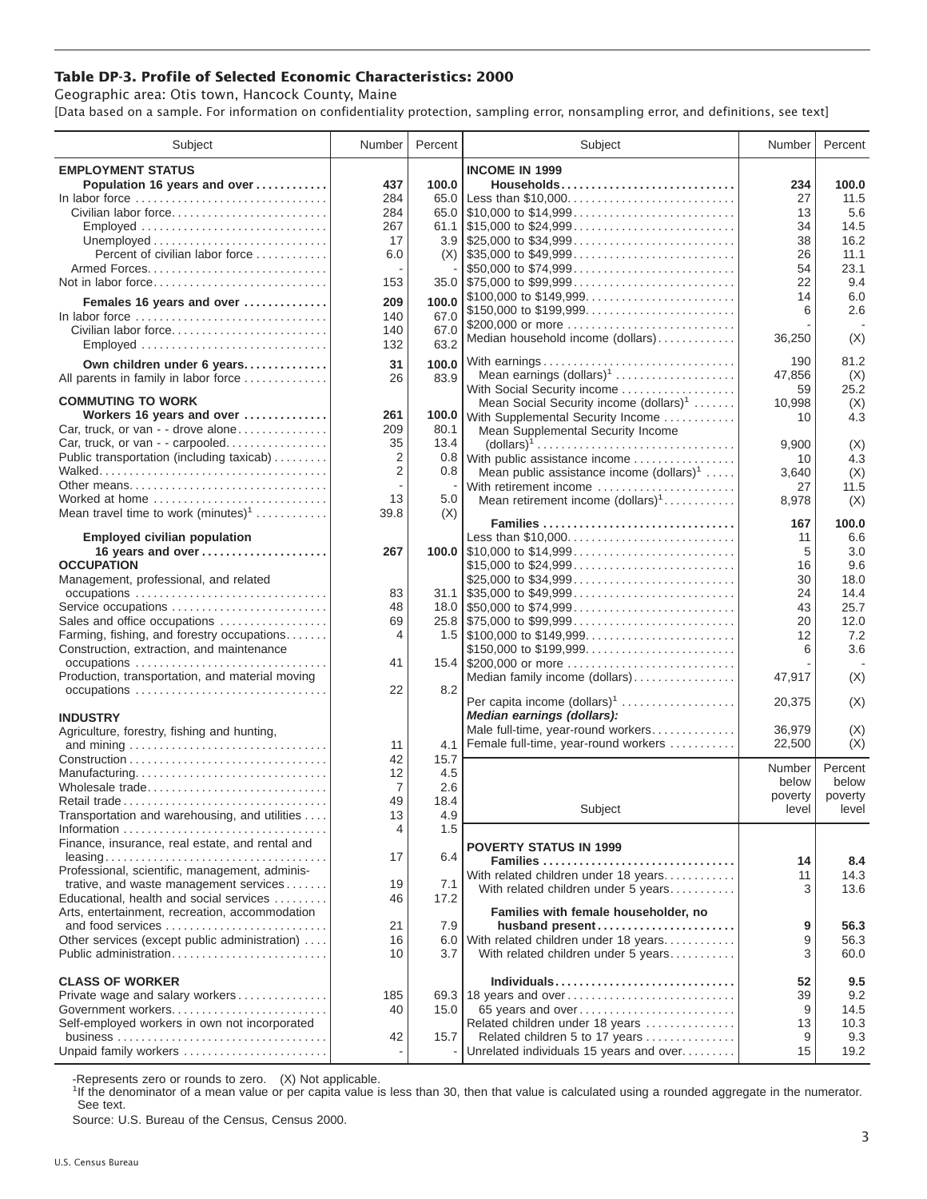## **Table DP-3. Profile of Selected Economic Characteristics: 2000**

Geographic area: Otis town, Hancock County, Maine

[Data based on a sample. For information on confidentiality protection, sampling error, nonsampling error, and definitions, see text]

| Subject                                                                            | Number         | Percent      | Subject                                                                                  | Number      | Percent      |
|------------------------------------------------------------------------------------|----------------|--------------|------------------------------------------------------------------------------------------|-------------|--------------|
| <b>EMPLOYMENT STATUS</b>                                                           |                |              | <b>INCOME IN 1999</b>                                                                    |             |              |
| Population 16 years and over                                                       | 437            | 100.0        | Households                                                                               | 234         | 100.0        |
| In labor force $\dots\dots\dots\dots\dots\dots\dots\dots\dots\dots\dots\dots\dots$ | 284            | 65.0         | Less than \$10,000                                                                       | 27          | 11.5         |
| Civilian labor force                                                               | 284            |              |                                                                                          | 13          | 5.6          |
| Employed                                                                           | 267            |              | 61.1 \\$15,000 to \$24,999                                                               | 34          | 14.5         |
|                                                                                    | 17             |              |                                                                                          | 38          | 16.2         |
| Percent of civilian labor force                                                    | 6.0            |              |                                                                                          | 26          | 11.1         |
|                                                                                    |                |              | \$50,000 to \$74,999                                                                     | 54          | 23.1         |
| Not in labor force                                                                 | 153            |              | 35.0 \$75,000 to \$99,999                                                                | 22          | 9.4          |
| Females 16 years and over                                                          | 209            | 100.0        | \$100,000 to \$149,999                                                                   | 14          | 6.0          |
| In labor force                                                                     | 140            | 67.0         |                                                                                          | 6           | 2.6          |
| Civilian labor force                                                               | 140            | 67.0         | \$200,000 or more<br>Median household income (dollars)                                   | 36,250      | (X)          |
|                                                                                    | 132            | 63.2         |                                                                                          |             |              |
| Own children under 6 years                                                         | 31             | 100.0        | With earnings                                                                            | 190         | 81.2         |
| All parents in family in labor force                                               | 26             | 83.9         | Mean earnings (dollars) <sup>1</sup>                                                     | 47,856      | (X)          |
|                                                                                    |                |              | With Social Security income                                                              | 59          | 25.2         |
| <b>COMMUTING TO WORK</b>                                                           |                |              | Mean Social Security income (dollars) <sup>1</sup>                                       | 10,998      | (X)          |
| Workers 16 years and over                                                          | 261            | 100.0        | With Supplemental Security Income                                                        | 10          | 4.3          |
| Car, truck, or van - - drove alone<br>Car, truck, or van - - carpooled             | 209<br>35      | 80.1<br>13.4 | Mean Supplemental Security Income                                                        |             |              |
| Public transportation (including taxicab)                                          | $\overline{2}$ |              | $\text{(dollars)}^1 \dots \dots \dots \dots \dots \dots \dots \dots \dots \dots \dots$   | 9.900       | (X)          |
|                                                                                    | $\overline{2}$ | 0.8          | 0.8 With public assistance income<br>Mean public assistance income $(dollars)1 \ldots$ . | 10<br>3.640 | 4.3<br>(X)   |
| Other means                                                                        |                |              | With retirement income                                                                   | 27          | 11.5         |
| Worked at home                                                                     | 13             | 5.0          | Mean retirement income $(dollars)1$                                                      | 8,978       | (X)          |
| Mean travel time to work $(minutes)^1$                                             | 39.8           | (X)          |                                                                                          |             |              |
|                                                                                    |                |              | Families                                                                                 | 167         | 100.0        |
| <b>Employed civilian population</b>                                                |                |              | Less than \$10,000                                                                       | 11          | 6.6          |
| 16 years and over                                                                  | 267            |              |                                                                                          | 5           | 3.0          |
| <b>OCCUPATION</b>                                                                  |                |              | \$15,000 to \$24,999                                                                     | 16          | 9.6          |
| Management, professional, and related                                              |                |              | \$25,000 to \$34,999                                                                     | 30          | 18.0         |
| occupations<br>Service occupations                                                 | 83<br>48       |              | $31.1$ \\$35,000 to \$49,999                                                             | 24          | 14.4<br>25.7 |
| Sales and office occupations                                                       | 69             |              | $25.8$ \\ \$75,000 to \$99,999                                                           | 43<br>20    | 12.0         |
| Farming, fishing, and forestry occupations                                         | 4              |              |                                                                                          | 12          | 7.2          |
| Construction, extraction, and maintenance                                          |                |              | \$150,000 to \$199,999                                                                   | 6           | 3.6          |
|                                                                                    | 41             |              |                                                                                          |             |              |
| Production, transportation, and material moving                                    |                |              | Median family income (dollars)                                                           | 47,917      | (X)          |
|                                                                                    | 22             | 8.2          |                                                                                          |             |              |
|                                                                                    |                |              | Per capita income (dollars) <sup>1</sup>                                                 | 20,375      | (X)          |
| <b>INDUSTRY</b>                                                                    |                |              | Median earnings (dollars):                                                               |             |              |
| Agriculture, forestry, fishing and hunting,                                        |                |              | Male full-time, year-round workers                                                       | 36,979      | (X)          |
|                                                                                    | 11             | 4.1          | Female full-time, year-round workers                                                     | 22,500      | (X)          |
|                                                                                    | 42             | 15.7         |                                                                                          | Number      | Percent      |
| Manufacturing<br>Wholesale trade                                                   | 12<br>7        | 4.5<br>2.6   |                                                                                          | below       | below        |
| Retail trade                                                                       | 49             | 18.4         |                                                                                          | poverty     | poverty      |
| Transportation and warehousing, and utilities                                      | 13             | 4.9          | Subject                                                                                  | level       | level        |
|                                                                                    | 4              | 1.5          |                                                                                          |             |              |
| Finance, insurance, real estate, and rental and                                    |                |              | <b>POVERTY STATUS IN 1999</b>                                                            |             |              |
|                                                                                    | 17             | 6.4          | Families                                                                                 | 14          | 8.4          |
| Professional, scientific, management, adminis-                                     |                |              | With related children under 18 years                                                     | 11          | 14.3         |
| trative, and waste management services                                             | 19             | 7.1          | With related children under 5 years                                                      | 3           | 13.6         |
| Educational, health and social services                                            | 46             | 17.2         |                                                                                          |             |              |
| Arts, entertainment, recreation, accommodation                                     |                |              | Families with female householder, no                                                     |             |              |
| and food services                                                                  | 21             | 7.9          | husband present                                                                          | 9           | 56.3         |
| Other services (except public administration)                                      | 16             |              | 6.0 With related children under 18 years                                                 | 9           | 56.3         |
| Public administration                                                              | 10             | 3.7          | With related children under 5 years                                                      | 3           | 60.0         |
| <b>CLASS OF WORKER</b>                                                             |                |              | Individuals                                                                              | 52          | 9.5          |
| Private wage and salary workers                                                    | 185            |              | 69.3 18 years and over                                                                   | 39          | 9.2          |
| Government workers                                                                 | 40             | 15.0         | 65 years and over                                                                        | 9           | 14.5         |
| Self-employed workers in own not incorporated                                      |                |              | Related children under 18 years                                                          | 13          | 10.3         |
|                                                                                    | 42             | 15.7         | Related children 5 to 17 years                                                           | 9           | 9.3          |
| Unpaid family workers                                                              |                |              | Unrelated individuals 15 years and over                                                  | 15          | 19.2         |

-Represents zero or rounds to zero. (X) Not applicable.

<sup>1</sup>If the denominator of a mean value or per capita value is less than 30, then that value is calculated using a rounded aggregate in the numerator. See text.

Source: U.S. Bureau of the Census, Census 2000.